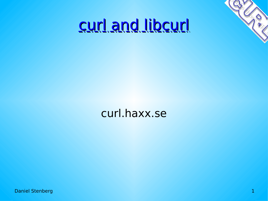

#### curl and libcurl

#### curl.haxx.se

**Daniel Stenberg 1988**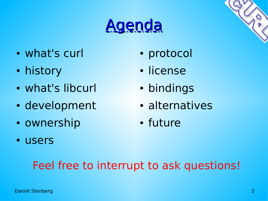### Agenda

- what's curl
- history
- what's libcurl
- development
- ownership
- users
- protocol
- license
- bindings
- alternatives
- future

#### Feel free to interrupt to ask questions!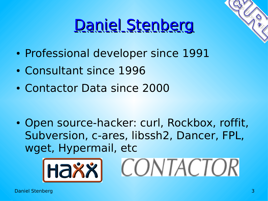## Daniel Stenberg

- Professional developer since 1991
- Consultant since 1996
- Contactor Data since 2000

• Open source-hacker: curl, Rockbox, roffit, Subversion, c-ares, libssh2, Dancer, FPL, wget, Hypermail, etc



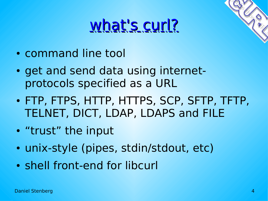### what's curl?

- command line tool
- get and send data using internetprotocols specified as a URL
- FTP, FTPS, HTTP, HTTPS, SCP, SFTP, TFTP, TELNET, DICT, LDAP, LDAPS and FILE
- "trust" the input
- unix-style (pipes, stdin/stdout, etc)
- shell front-end for libcurl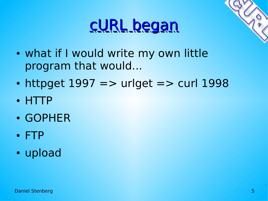#### cURL began



- what if I would write my own little program that would...
- httpget  $1997 ==$  urlget  $=$  curl  $1998$
- HTTP
- GOPHER
- FTP
- upload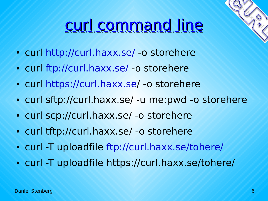### curl command line

- curl<http://curl.haxx.se/> -o storehere
- curl<ftp://curl.haxx.se/>-o storehere
- curl<https://curl.haxx.se/> -o storehere
- curl sftp://curl.haxx.se/ -u me:pwd -o storehere
- curl scp://curl.haxx.se/ -o storehere
- curl tftp://curl.haxx.se/ -o storehere
- curl -T uploadfile <ftp://curl.haxx.se/tohere/>
- curl -T uploadfile https://curl.haxx.se/tohere/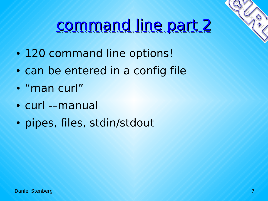

### command line part 2

- 120 command line options!
- can be entered in a config file
- "man curl"
- curl --manual
- pipes, files, stdin/stdout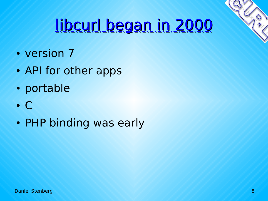

## libcurl began in 2000

- version 7
- API for other apps
- portable
- C
- PHP binding was early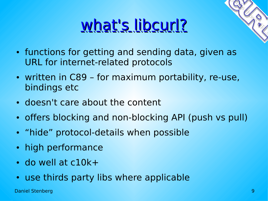## what's libcurl?



- written in C89 for maximum portability, re-use, bindings etc
- doesn't care about the content
- offers blocking and non-blocking API (push vs pull)
- "hide" protocol-details when possible
- high performance
- $\cdot$  do well at c10 $k+$
- use thirds party libs where applicable

Daniel Stenberg 9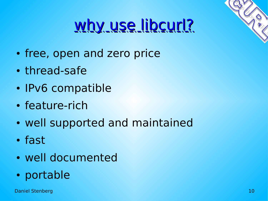## why use libcurl?

- free, open and zero price
- thread-safe
- IPv6 compatible
- feature-rich
- well supported and maintained
- fast
- well documented
- portable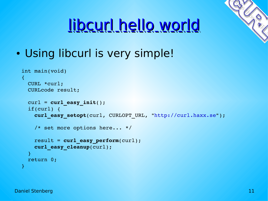# libcurl hello world

• Using libcurl is very simple!

```
int main(void)
\mathcal{R}  CURL *curl;
    CURLcode result;
    curl = curl_easy_init();
    if(curl) {
         curl_easy_setopt(curl, CURLOPT_URL, "http://curl.haxx.se");
         /* set more options here... */
         result = curl_easy_perform(curl);
         curl_easy_cleanup(curl);
\left| \begin{array}{c} \end{array} \right|  return 0;
}
```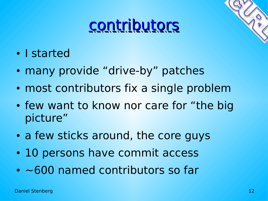#### contributors

- I started
- many provide "drive-by" patches
- most contributors fix a single problem
- few want to know nor care for "the big picture"
- a few sticks around, the core guys
- 10 persons have commit access
- ~600 named contributors so far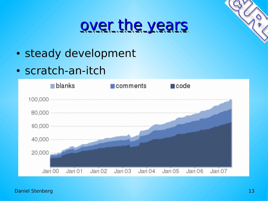#### over the years

- steady development
- scratch-an-itch

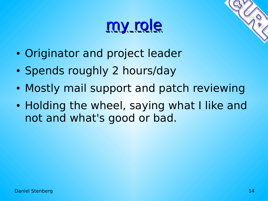#### my role

- Originator and project leader
- Spends roughly 2 hours/day
- Mostly mail support and patch reviewing
- Holding the wheel, saying what I like and not and what's good or bad.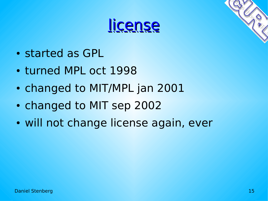



- turned MPL oct 1998
- changed to MIT/MPL jan 2001
- changed to MIT sep 2002
- will not change license again, ever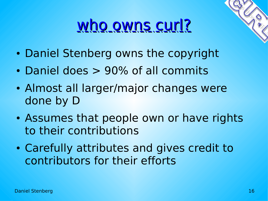#### who owns curl?

- Daniel Stenberg owns the copyright
- Daniel does > 90% of all commits
- Almost all larger/major changes were done by D
- Assumes that people own or have rights to their contributions
- Carefully attributes and gives credit to contributors for their efforts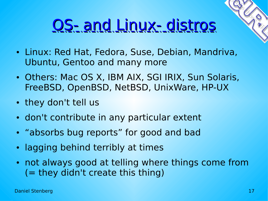### OS- and Linux- distros

- Linux: Red Hat, Fedora, Suse, Debian, Mandriva, Ubuntu, Gentoo and many more
- Others: Mac OS X, IBM AIX, SGI IRIX, Sun Solaris, FreeBSD, OpenBSD, NetBSD, UnixWare, HP-UX
- they don't tell us
- don't contribute in any particular extent
- "absorbs bug reports" for good and bad
- lagging behind terribly at times
- not always good at telling where things come from (= they didn't create this thing)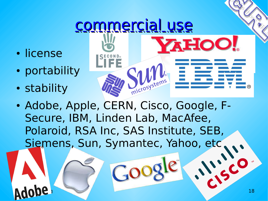#### commercial use

**AHOC** 

- license
- portability
- stability
- microsyster • Adobe, Apple, CERN, Cisco, Google, F-Secure, IBM, Linden Lab, MacAfee, Polaroid, RSA Inc, SAS Institute, SEB, Siemens, Sun, Symantec, Yahoo, etc

NO.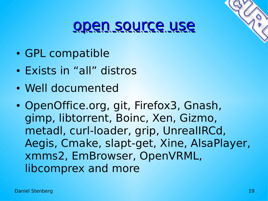#### open source use

- GPL compatible
- Exists in "all" distros
- Well documented
- OpenOffice.org, git, Firefox3, Gnash, gimp, libtorrent, Boinc, Xen, Gizmo, metadl, curl-loader, grip, UnrealIRCd, Aegis, Cmake, slapt-get, Xine, AlsaPlayer, xmms2, EmBrowser, OpenVRML, libcomprex and more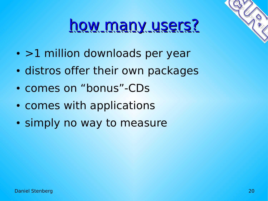#### how many users?

- >1 million downloads per year
- distros offer their own packages
- comes on "bonus"-CDs
- comes with applications
- simply no way to measure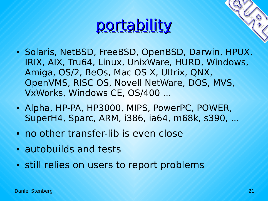#### <u>portability</u>

- 
- Solaris, NetBSD, FreeBSD, OpenBSD, Darwin, HPUX, IRIX, AIX, Tru64, Linux, UnixWare, HURD, Windows, Amiga, OS/2, BeOs, Mac OS X, Ultrix, QNX, OpenVMS, RISC OS, Novell NetWare, DOS, MVS, VxWorks, Windows CE, OS/400 ...
- Alpha, HP-PA, HP3000, MIPS, PowerPC, POWER, SuperH4, Sparc, ARM, i386, ia64, m68k, s390, ...
- no other transfer-lib is even close
- autobuilds and tests
- still relies on users to report problems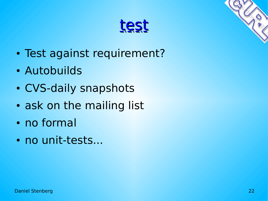

- Test against requirement?
- Autobuilds
- CVS-daily snapshots
- ask on the mailing list
- no formal
- no unit-tests...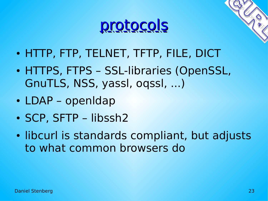

- 
- HTTP, FTP, TELNET, TFTP, FILE, DICT
- HTTPS, FTPS SSL-libraries (OpenSSL, GnuTLS, NSS, yassl, oqssl, ...)
- LDAP openIdap
- SCP, SFTP libssh2
- libcurl is standards compliant, but adjusts to what common browsers do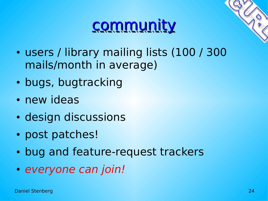#### **community**

- users / library mailing lists (100 / 300 mails/month in average)
- bugs, bugtracking
- new ideas
- design discussions
- post patches!
- bug and feature-request trackers
- everyone can join!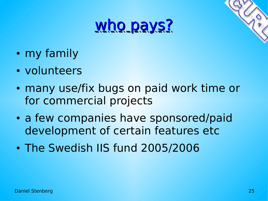#### who pays?

- my family
- volunteers
- many use/fix bugs on paid work time or for commercial projects
- a few companies have sponsored/paid development of certain features etc
- The Swedish IIS fund 2005/2006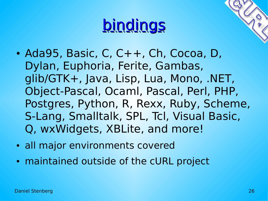#### bindings

- $\bullet$  Ada95, Basic, C, C++, Ch, Cocoa, D, Dylan, Euphoria, Ferite, Gambas, glib/GTK+, Java, Lisp, Lua, Mono, .NET, Object-Pascal, Ocaml, Pascal, Perl, PHP, Postgres, Python, R, Rexx, Ruby, Scheme, S-Lang, Smalltalk, SPL, Tcl, Visual Basic, Q, wxWidgets, XBLite, and more!
- all major environments covered
- maintained outside of the cURL project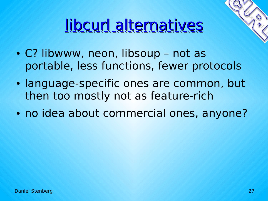## libcurl alternatives

- C? libwww, neon, libsoup not as portable, less functions, fewer protocols
- language-specific ones are common, but then too mostly not as feature-rich
- no idea about commercial ones, anyone?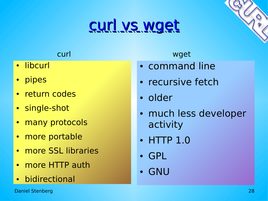#### curl vs wget

- libcurl
- pipes
- return codes
- single-shot
- many protocols
- more portable
- more SSL libraries
- more HTTP auth
- bidirectional

curl wget

- command line
- recursive fetch
- older
- much less developer activity
- HTTP 1.0
- GPL
- GNU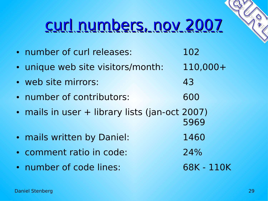#### curl numbers, nov 2007

| • number of curl releases:                     | 102        |
|------------------------------------------------|------------|
| · unique web site visitors/month:              | $110,000+$ |
| • web site mirrors:                            | 43         |
| • number of contributors:                      | 600        |
| • mails in user + library lists (jan-oct 2007) | 5969       |
| . mails written by Daniel:                     | 1460       |
| • comment ratio in code:                       | 24%        |
| • number of code lines:                        | 68K - 110K |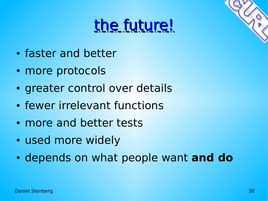#### the future!

- faster and better
- more protocols
- greater control over details
- fewer irrelevant functions
- more and better tests
- used more widely
- depends on what people want **and do**